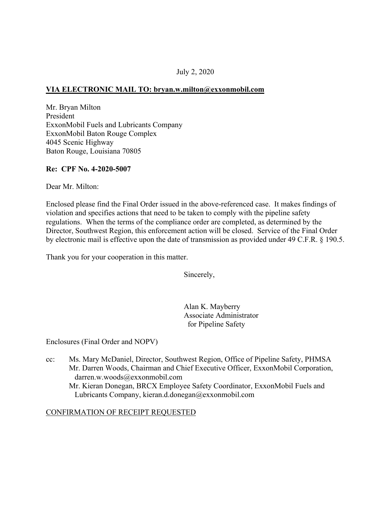#### July 2, 2020

### **VIA ELECTRONIC MAIL TO: [bryan.w.milton@exxonmobil.com](mailto:bryan.w.milton@exxonmobil.com)**

Mr. Bryan Milton President ExxonMobil Fuels and Lubricants Company ExxonMobil Baton Rouge Complex 4045 Scenic Highway Baton Rouge, Louisiana 70805

#### **Re: CPF No. 4-2020-5007**

Dear Mr. Milton:

Enclosed please find the Final Order issued in the above-referenced case. It makes findings of violation and specifies actions that need to be taken to comply with the pipeline safety regulations. When the terms of the compliance order are completed, as determined by the Director, Southwest Region, this enforcement action will be closed. Service of the Final Order by electronic mail is effective upon the date of transmission as provided under 49 C.F.R. § 190.5.

Thank you for your cooperation in this matter.

Sincerely,

Alan K. Mayberry Associate Administrator for Pipeline Safety

Enclosures (Final Order and NOPV)

cc: Ms. Mary McDaniel, Director, Southwest Region, Office of Pipeline Safety, PHMSA Mr. Darren Woods, Chairman and Chief Executive Officer, ExxonMobil Corporation, [darren.w.woods@exxonmobil.com](mailto:darren.w.woods@exxonmobil.com)  Mr. Kieran Donegan, BRCX Employee Safety Coordinator, ExxonMobil Fuels and Lubricants Company, [kieran.d.donegan@exxonmobil.com](mailto:kieran.d.donegan@exxonmobil.com) 

#### CONFIRMATION OF RECEIPT REQUESTED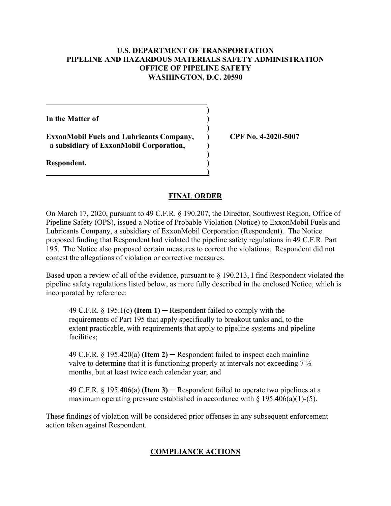#### **U.S. DEPARTMENT OF TRANSPORTATION PIPELINE AND HAZARDOUS MATERIALS SAFETY ADMINISTRATION OFFICE OF PIPELINE SAFETY WASHINGTON, D.C. 20590**

**)** 

**)** 

**)** 

**)** 

**In the Matter of )** 

**ExxonMobil Fuels and Lubricants Company, ) CPF No. 4-2020-5007 a subsidiary of ExxonMobil Corporation, )** 

**Respondent. )** 

### **FINAL ORDER**

On March 17, 2020, pursuant to 49 C.F.R. § 190.207, the Director, Southwest Region, Office of Pipeline Safety (OPS), issued a Notice of Probable Violation (Notice) to ExxonMobil Fuels and Lubricants Company, a subsidiary of ExxonMobil Corporation (Respondent). The Notice proposed finding that Respondent had violated the pipeline safety regulations in 49 C.F.R. Part 195. The Notice also proposed certain measures to correct the violations. Respondent did not contest the allegations of violation or corrective measures.

Based upon a review of all of the evidence, pursuant to § 190.213, I find Respondent violated the pipeline safety regulations listed below, as more fully described in the enclosed Notice, which is incorporated by reference:

49 C.F.R. § 195.1(c) **(Item 1)** ─ Respondent failed to comply with the requirements of Part 195 that apply specifically to breakout tanks and, to the extent practicable, with requirements that apply to pipeline systems and pipeline facilities;

49 C.F.R. § 195.420(a) **(Item 2)** ─ Respondent failed to inspect each mainline valve to determine that it is functioning properly at intervals not exceeding 7 ½ months, but at least twice each calendar year; and

49 C.F.R. § 195.406(a) **(Item 3)** ─ Respondent failed to operate two pipelines at a maximum operating pressure established in accordance with  $\S$  195.406(a)(1)-(5).

These findings of violation will be considered prior offenses in any subsequent enforcement action taken against Respondent.

# **COMPLIANCE ACTIONS**